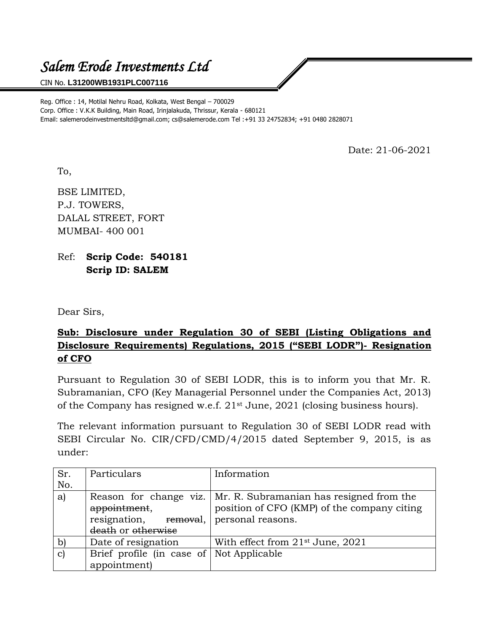## *Salem Erode Investments Ltd*

## CIN No. **L31200WB1931PLC007116**

Reg. Office : 14, Motilal Nehru Road, Kolkata, West Bengal – 700029 Corp. Office : V.K.K Building, Main Road, Irinjalakuda, Thrissur, Kerala - 680121 Email: salemerodeinvestmentsltd@gmail.com; cs@salemerode.com Tel :+91 33 24752834; +91 0480 2828071

Date: 21-06-2021

To,

BSE LIMITED, P.J. TOWERS, DALAL STREET, FORT MUMBAI- 400 001

Ref: **Scrip Code: 540181 Scrip ID: SALEM**

Dear Sirs,

## **Sub: Disclosure under Regulation 30 of SEBI (Listing Obligations and Disclosure Requirements) Regulations, 2015 ("SEBI LODR")- Resignation of CFO**

Pursuant to Regulation 30 of SEBI LODR, this is to inform you that Mr. R. Subramanian, CFO (Key Managerial Personnel under the Companies Act, 2013) of the Company has resigned w.e.f. 21st June, 2021 (closing business hours).

The relevant information pursuant to Regulation 30 of SEBI LODR read with SEBI Circular No. CIR/CFD/CMD/4/2015 dated September 9, 2015, is as under:

| Sr.          | Particulars                              | Information                                                       |
|--------------|------------------------------------------|-------------------------------------------------------------------|
| No.          |                                          |                                                                   |
| a)           |                                          | Reason for change viz.   Mr. R. Subramanian has resigned from the |
|              | appointment,                             | position of CFO (KMP) of the company citing                       |
|              | resignation, removal,                    | personal reasons.                                                 |
|              | death or otherwise                       |                                                                   |
| $\mathbf{b}$ | Date of resignation                      | With effect from 21 <sup>st</sup> June, 2021                      |
| $\mathbf{c}$ | Brief profile (in case of Not Applicable |                                                                   |
|              | appointment)                             |                                                                   |